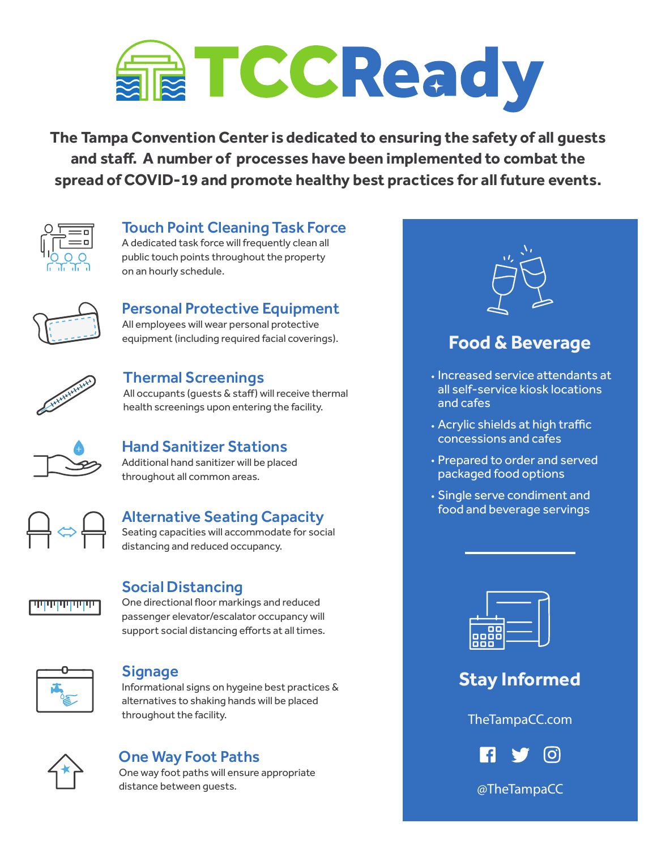

**The Tampa Convention Center is dedicated to ensuring the safety of all guests and sta�. A number of processes have been implemented to combat the spread of COVID-19 and promote healthy best practices for all future events.** 



#### Touch Point Cleaning Task Force

A dedicated task force will frequently clean all public touch points throughout the property on an hourly schedule.



## Personal Protective Equipment

All employees will wear personal protective equipment (including required facial coverings).



#### Thermal Screenings

All occupants (guests & staff) will receive thermal health screenings upon entering the facility.



### Hand Sanitizer Stations

Additional hand sanitizer will be placed throughout all common areas.



#### Alternative Seating Capacity

Seating capacities will accommodate for social distancing and reduced occupancy.



#### Social Distancing

One directional floor markings and reduced passenger elevator/escalator occupancy will support social distancing efforts at all times.



#### **Signage**

Informational signs on hygeine best practices & alternatives to shaking hands will be placed throughout the facility.



#### One Way Foot Paths

One way foot paths will ensure appropriate distance between guests.



## **Food & Beverage**

- Increased service attendants at all self-service kiosk locations and cafes
- . Acrylic shields at high traffic concessions and cafes
- Prepared to order and served packaged food options
- Single serve condiment and food and beverage servings



## **Stay Informed**

TheTampaCC.com



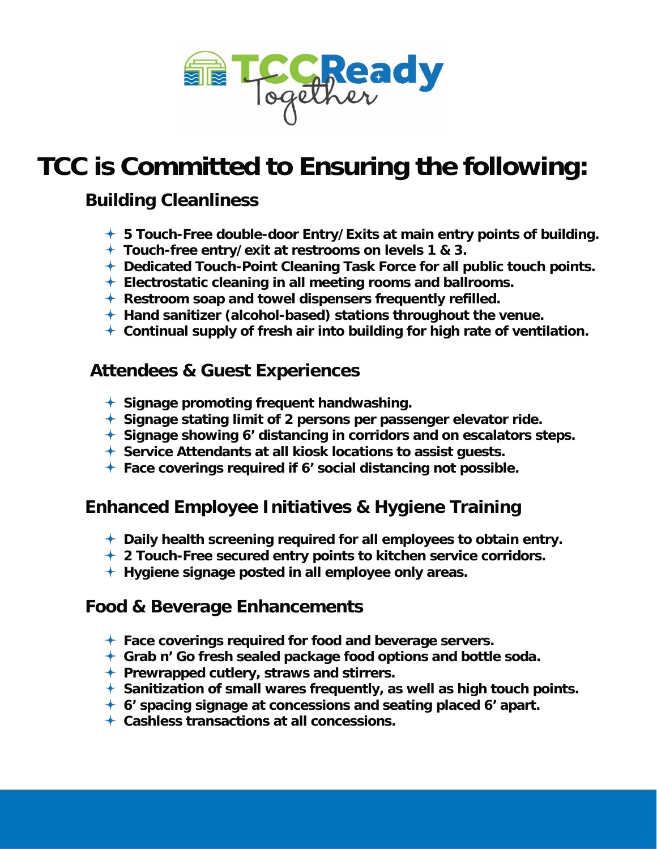

# **TCC is Committed to Ensuring the following:**

## **Building Cleanliness**

- **5 Touch-Free double-door Entry/Exits at main entry points of building.**
- **Touch-free entry/exit at restrooms on levels 1 & 3.**
- **Dedicated Touch-Point Cleaning Task Force for all public touch points.**
- **Electrostatic cleaning in all meeting rooms and ballrooms.**
- **Restroom soap and towel dispensers frequently refilled.**
- **Hand sanitizer (alcohol-based) stations throughout the venue.**
- **Continual supply of fresh air into building for high rate of ventilation.**

## **Attendees & Guest Experiences**

- **Signage promoting frequent handwashing.**
- **Signage stating limit of 2 persons per passenger elevator ride.**
- **Signage showing 6' distancing in corridors and on escalators steps.**
- **Service Attendants at all kiosk locations to assist guests.**
- **Face coverings required if 6' social distancing not possible.**

## **Enhanced Employee Initiatives & Hygiene Training**

- **Daily health screening required for all employees to obtain entry.**
- **2 Touch-Free secured entry points to kitchen service corridors.**
- **Hygiene signage posted in all employee only areas.**

### **Food & Beverage Enhancements**

- **Face coverings required for food and beverage servers.**
- **Grab n' Go fresh sealed package food options and bottle soda.**
- **Prewrapped cutlery, straws and stirrers.**
- **Sanitization of small wares frequently, as well as high touch points.**
- **6' spacing signage at concessions and seating placed 6' apart.**
- **Cashless transactions at all concessions.**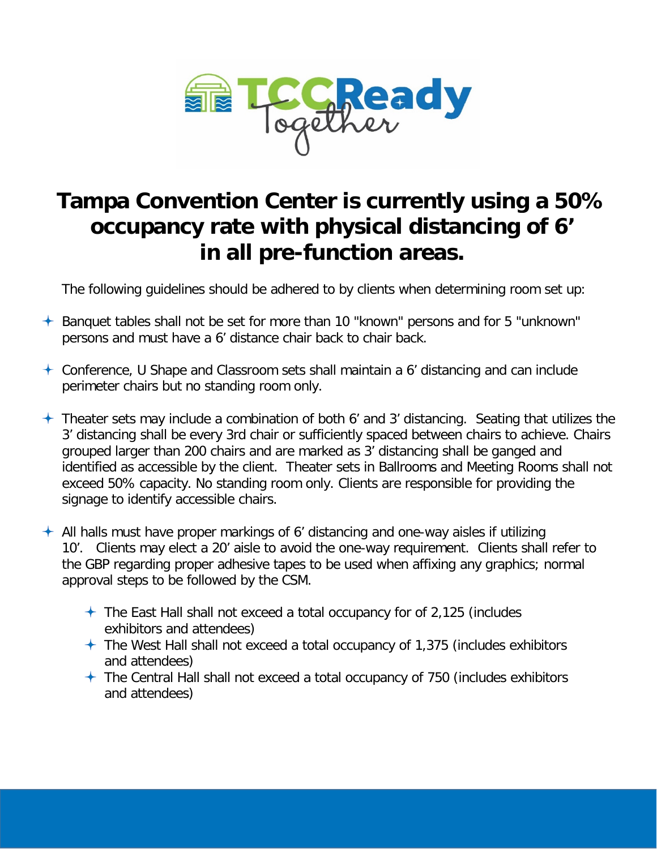

## **Tampa Convention Center is currently using a 50% occupancy rate with physical distancing of 6' in all pre-function areas.**

The following guidelines should be adhered to by clients when determining room set up:

- Banquet tables shall not be set for more than 10 "known" persons and for 5 "unknown" persons and must have a 6' distance chair back to chair back.
- $\pm$  Conference, U Shape and Classroom sets shall maintain a 6' distancing and can include perimeter chairs but no standing room only.
- $+$  Theater sets may include a combination of both 6' and 3' distancing. Seating that utilizes the 3' distancing shall be every 3rd chair or sufficiently spaced between chairs to achieve. Chairs grouped larger than 200 chairs and are marked as 3' distancing shall be ganged and identified as accessible by the client. Theater sets in Ballrooms and Meeting Rooms shall not exceed 50% capacity. No standing room only. Clients are responsible for providing the signage to identify accessible chairs.
- $\pm$  All halls must have proper markings of 6' distancing and one-way aisles if utilizing 10'. Clients may elect a 20' aisle to avoid the one-way requirement. Clients shall refer to the GBP regarding proper adhesive tapes to be used when affixing any graphics; normal approval steps to be followed by the CSM.
	- $\pm$  The East Hall shall not exceed a total occupancy for of 2,125 (includes exhibitors and attendees)
	- $+$  The West Hall shall not exceed a total occupancy of 1,375 (includes exhibitors and attendees)
	- $+$  The Central Hall shall not exceed a total occupancy of 750 (includes exhibitors and attendees)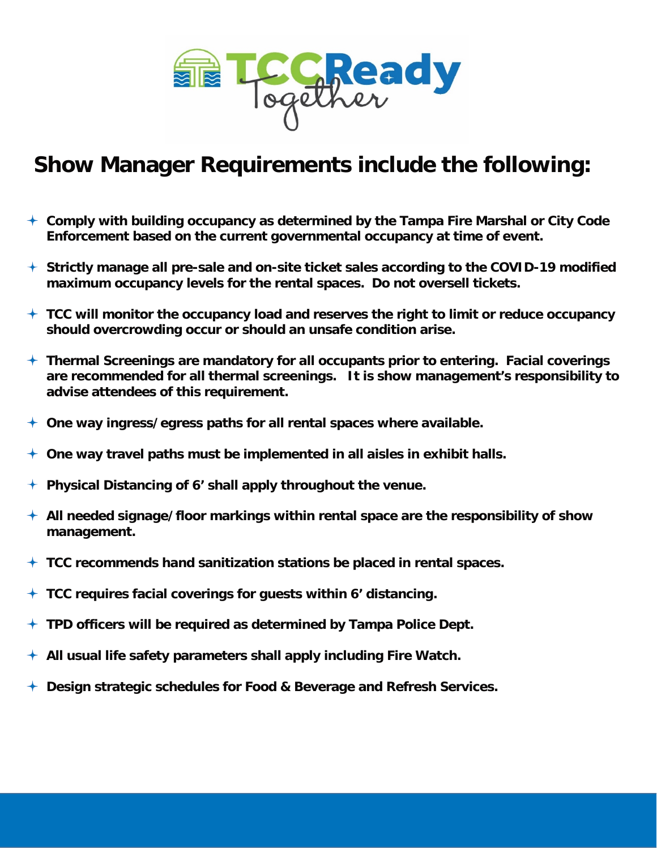

## **Show Manager Requirements include the following:**

- **Comply with building occupancy as determined by the Tampa Fire Marshal or City Code Enforcement based on the current governmental occupancy at time of event.**
- **Strictly manage all pre-sale and on-site ticket sales according to the COVID-19 modified maximum occupancy levels for the rental spaces. Do not oversell tickets.**
- **TCC will monitor the occupancy load and reserves the right to limit or reduce occupancy should overcrowding occur or should an unsafe condition arise.**
- **Thermal Screenings are mandatory for all occupants prior to entering. Facial coverings are recommended for all thermal screenings. It is show management's responsibility to advise attendees of this requirement.**
- **One way ingress/egress paths for all rental spaces where available.**
- **One way travel paths must be implemented in all aisles in exhibit halls.**
- **Physical Distancing of 6' shall apply throughout the venue.**
- **All needed signage/floor markings within rental space are the responsibility of show management.**
- **TCC recommends hand sanitization stations be placed in rental spaces.**
- **TCC requires facial coverings for guests within 6' distancing.**
- **TPD officers will be required as determined by Tampa Police Dept.**
- **All usual life safety parameters shall apply including Fire Watch.**
- **Design strategic schedules for Food & Beverage and Refresh Services.**